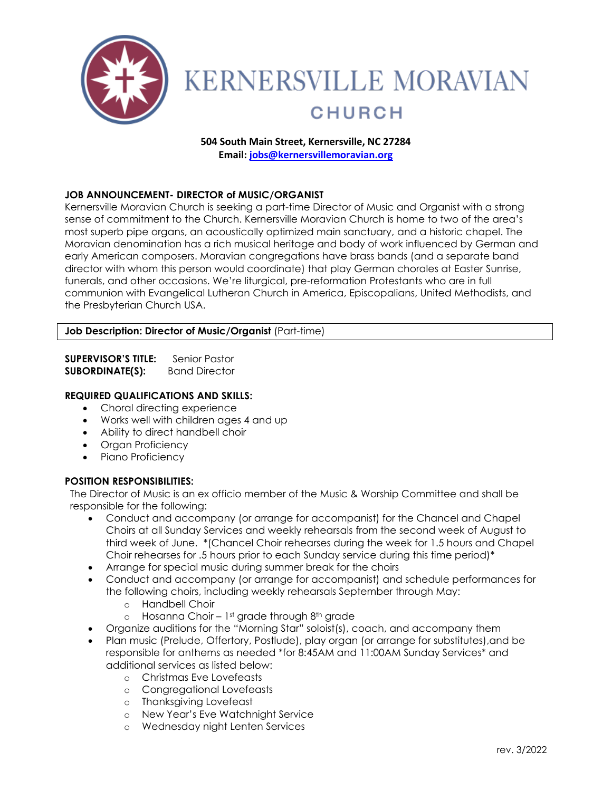

# **KERNERSVILLE MORAVIAN CHURCH**

## **504 South Main Street, Kernersville, NC 27284**

**Email[: jobs@kernersvillemoravian.org](mailto:jobs@kernersvillemoravian.org)**

#### **JOB ANNOUNCEMENT- DIRECTOR of MUSIC/ORGANIST**

Kernersville Moravian Church is seeking a part-time Director of Music and Organist with a strong sense of commitment to the Church. Kernersville Moravian Church is home to two of the area's most superb pipe organs, an acoustically optimized main sanctuary, and a historic chapel. The Moravian denomination has a rich musical heritage and body of work influenced by German and early American composers. Moravian congregations have brass bands (and a separate band director with whom this person would coordinate) that play German chorales at Easter Sunrise, funerals, and other occasions. We're liturgical, pre-reformation Protestants who are in full communion with Evangelical Lutheran Church in America, Episcopalians, United Methodists, and the Presbyterian Church USA.

#### **Job Description: Director of Music/Organist** (Part-time)

**SUPERVISOR'S TITLE:** Senior Pastor **SUBORDINATE(S):** Band Director

### **REQUIRED QUALIFICATIONS AND SKILLS:**

- Choral directing experience
- Works well with children ages 4 and up
- Ability to direct handbell choir
- Organ Proficiency
- Piano Proficiency

#### **POSITION RESPONSIBILITIES:**

The Director of Music is an ex officio member of the Music & Worship Committee and shall be responsible for the following:

- Conduct and accompany (or arrange for accompanist) for the Chancel and Chapel Choirs at all Sunday Services and weekly rehearsals from the second week of August to third week of June. \*(Chancel Choir rehearses during the week for 1.5 hours and Chapel Choir rehearses for .5 hours prior to each Sunday service during this time period)\*
- Arrange for special music during summer break for the choirs
- Conduct and accompany (or arrange for accompanist) and schedule performances for the following choirs, including weekly rehearsals September through May:
	- o Handbell Choir
	- o Hosanna Choir 1st grade through 8th grade
- Organize auditions for the "Morning Star" soloist(s), coach, and accompany them
- Plan music (Prelude, Offertory, Postlude), play organ (or arrange for substitutes),and be responsible for anthems as needed \*for 8:45AM and 11:00AM Sunday Services\* and additional services as listed below:
	- o Christmas Eve Lovefeasts
	- o Congregational Lovefeasts
	- o Thanksgiving Lovefeast
	- o New Year's Eve Watchnight Service
	- o Wednesday night Lenten Services